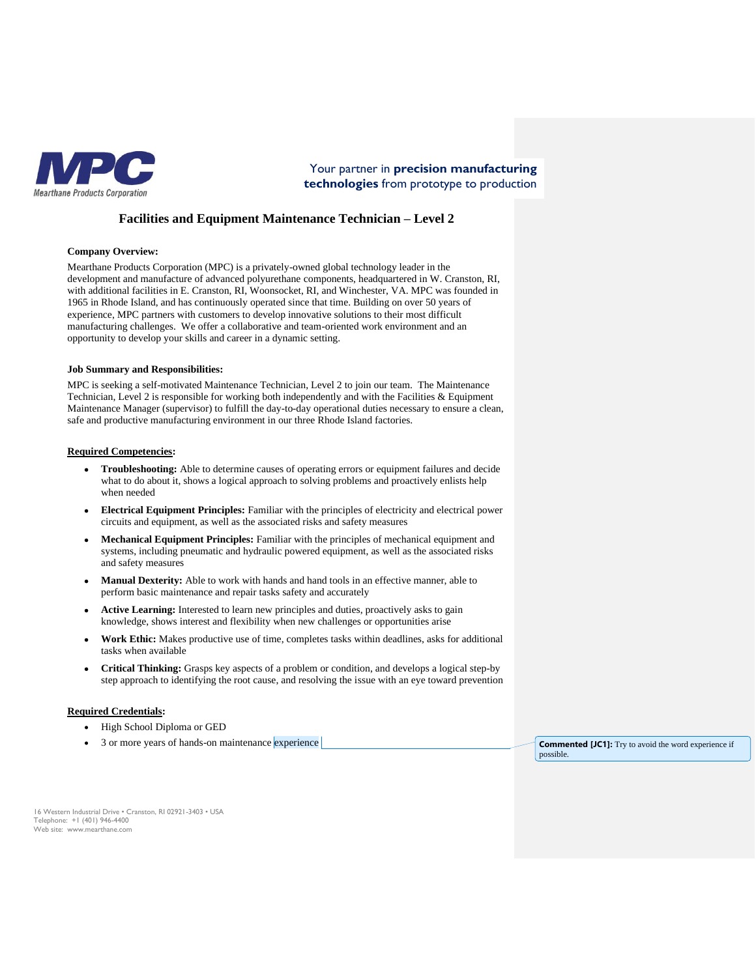

Your partner in **precision manufacturing technologies** from prototype to production

# **Facilities and Equipment Maintenance Technician – Level 2**

#### **Company Overview:**

Mearthane Products Corporation (MPC) is a privately-owned global technology leader in the development and manufacture of advanced polyurethane components, headquartered in W. Cranston, RI, with additional facilities in E. Cranston, RI, Woonsocket, RI, and Winchester, VA. MPC was founded in 1965 in Rhode Island, and has continuously operated since that time. Building on over 50 years of experience, MPC partners with customers to develop innovative solutions to their most difficult manufacturing challenges. We offer a collaborative and team-oriented work environment and an opportunity to develop your skills and career in a dynamic setting.

#### **Job Summary and Responsibilities:**

MPC is seeking a self-motivated Maintenance Technician, Level 2 to join our team. The Maintenance Technician, Level 2 is responsible for working both independently and with the Facilities & Equipment Maintenance Manager (supervisor) to fulfill the day-to-day operational duties necessary to ensure a clean, safe and productive manufacturing environment in our three Rhode Island factories.

#### **Required Competencies:**

- **Troubleshooting:** Able to determine causes of operating errors or equipment failures and decide what to do about it, shows a logical approach to solving problems and proactively enlists help when needed
- **Electrical Equipment Principles:** Familiar with the principles of electricity and electrical power circuits and equipment, as well as the associated risks and safety measures
- **Mechanical Equipment Principles:** Familiar with the principles of mechanical equipment and systems, including pneumatic and hydraulic powered equipment, as well as the associated risks and safety measures
- Manual Dexterity: Able to work with hands and hand tools in an effective manner, able to perform basic maintenance and repair tasks safety and accurately
- **Active Learning:** Interested to learn new principles and duties, proactively asks to gain knowledge, shows interest and flexibility when new challenges or opportunities arise
- **Work Ethic:** Makes productive use of time, completes tasks within deadlines, asks for additional tasks when available
- **Critical Thinking:** Grasps key aspects of a problem or condition, and develops a logical step-by step approach to identifying the root cause, and resolving the issue with an eye toward prevention

#### **Required Credentials:**

- High School Diploma or GED
- 3 or more years of hands-on maintenance experience **Commented [JC1]:** Try to avoid the word experience if

possible.

16 Western Industrial Drive • Cranston, RI 02921-3403 • USA Telephone: +1 (401) 946-4400 Web site: www.mearthane.com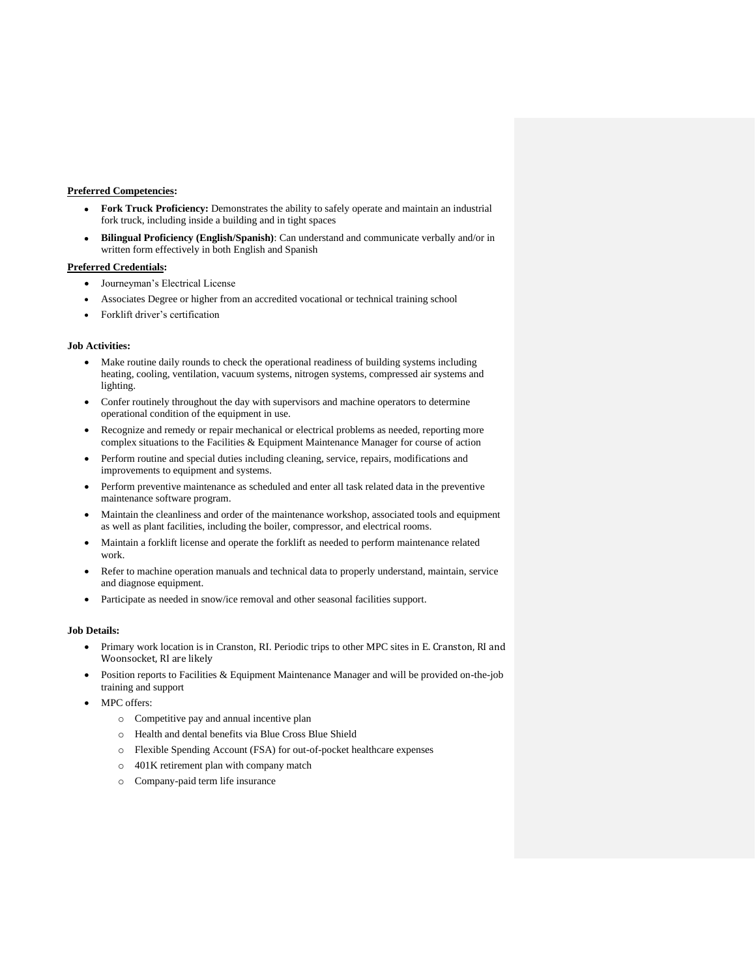# **Preferred Competencies:**

- **Fork Truck Proficiency:** Demonstrates the ability to safely operate and maintain an industrial fork truck, including inside a building and in tight spaces
- **Bilingual Proficiency (English/Spanish)**: Can understand and communicate verbally and/or in written form effectively in both English and Spanish

## **Preferred Credentials:**

- Journeyman's Electrical License
- Associates Degree or higher from an accredited vocational or technical training school
- Forklift driver's certification

# **Job Activities:**

- Make routine daily rounds to check the operational readiness of building systems including heating, cooling, ventilation, vacuum systems, nitrogen systems, compressed air systems and lighting.
- Confer routinely throughout the day with supervisors and machine operators to determine operational condition of the equipment in use.
- Recognize and remedy or repair mechanical or electrical problems as needed, reporting more complex situations to the Facilities & Equipment Maintenance Manager for course of action
- Perform routine and special duties including cleaning, service, repairs, modifications and improvements to equipment and systems.
- Perform preventive maintenance as scheduled and enter all task related data in the preventive maintenance software program.
- Maintain the cleanliness and order of the maintenance workshop, associated tools and equipment as well as plant facilities, including the boiler, compressor, and electrical rooms.
- Maintain a forklift license and operate the forklift as needed to perform maintenance related work.
- Refer to machine operation manuals and technical data to properly understand, maintain, service and diagnose equipment.
- Participate as needed in snow/ice removal and other seasonal facilities support.

## **Job Details:**

- Primary work location is in Cranston, RI. Periodic trips to other MPC sites in E. Cranston, RI and Woonsocket, RI are likely
- Position reports to Facilities & Equipment Maintenance Manager and will be provided on-the-job training and support
- MPC offers:
	- o Competitive pay and annual incentive plan
	- o Health and dental benefits via Blue Cross Blue Shield
	- o Flexible Spending Account (FSA) for out-of-pocket healthcare expenses
	- o 401K retirement plan with company match
	- o Company-paid term life insurance